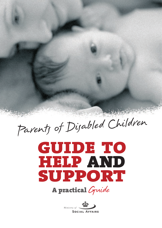Parents of Disabled Children

# **GUIDE TO HELP AND SUPPORT A practical** Guide

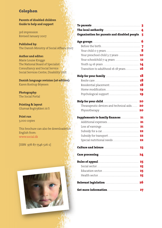#### **Colophon**

**Parents of disabled children Guide to help and support** 

3rd impression Revised January 2007

**Published by:**  The Danish Ministry of Social Affairs, 2007

#### **Author and editor:**

Marie Louise Knigge The National Board of Specialist Consultancy and Social Service Social Services Centre, Disability Unit

### **Danish language revision (1st edition):**

Karen Rostrup Böyesen

**Photography:**  The Social Portal

**Printing & layout**  Glumsø Bogtrykkeri A/S

**Print run**  3,000 copies

This brochure can also be downloaded in English from: www.social.dk

[ISBN 978-87-7546-526-2]



|                                               | $\overline{\mathbf{3}}$ |
|-----------------------------------------------|-------------------------|
| The local authority                           | 4                       |
| Organisation for parents and disabled people. | 5                       |
|                                               | 6                       |
| Before the birth                              | 7                       |
| Your child 0-3 years                          | 8                       |
| Your preschool child 3-7 years  10            |                         |
| Your schoolchild 7-14 years  12               |                         |
|                                               |                         |
| Transition to adulthood 16-18 years           | 16                      |
| Help for your family                          | 18                      |
|                                               | 18                      |
| Residential placement                         | 18                      |
| Home modification                             | 19                      |
| Psychological support                         | 19                      |
| Help for your child                           | 20                      |
| Thearapeutic devices and technical aids       | 20                      |
| Physiotherapy                                 | 20                      |
| <b>Supplements to family finances.</b>        | 21                      |
| Additional expenses                           | 21                      |
| Loss af earnings                              | 21                      |
| Subsidy for a car                             | 22                      |
| Subsidy for transport                         | 22                      |
| Special nutritional needs                     | 22                      |
| Culture and leisure                           | 23                      |
|                                               |                         |
|                                               |                         |
| <b>Rules of appeal</b>                        | 25                      |
|                                               | 25                      |
| Education sector                              | 25                      |
| Health sector                                 | 25                      |
| Relevant legislation  26                      |                         |
|                                               |                         |
|                                               |                         |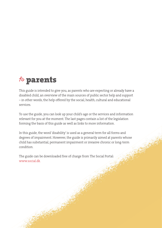## to **parents**

This guide is intended to give you, as parents who are expecting or already have a disabled child, an overview of the main sources of public sector help and support – in other words, the help offered by the social, health, cultural and educational services.

To use the guide, you can look up your child's age or the services and information relevant for you at the moment. The last pages contain a list of the legislation forming the basis of this guide as well as links to more information.

In this guide, the word 'disability' is used as a general term for all forms and degrees of impairment. However, the guide is primarily aimed at parents whose child has substantial, permanent impairment or invasive chronic or long-term condition.

The guide can be downloaded free of charge from The Social Portal: www.social.dk.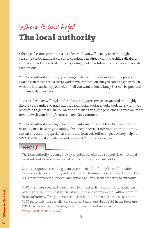## Where to find help? **The local authority**

When you become parents to a disabled child, you will usually need thorough consultancy. For example, consultancy might deal directly with the child's disability and ways to solve practical problems, or might address future perspectives and respite care options.

Your local authority will help you navigate the various help and support options available. In most cases, a social worker will contact you, but you can also get in touch with the local authority yourselves. If all you want is consultancy, this can be provided anonymously, if you wish.

Your social worker will explain the relevant support services to you and thoroughly discuss your family's overall situation. Your social worker should work closely with you on creating a general plan. You are the ones living with the problems and who are most familiar with your family's situation and daily routines.

Your local authority is obliged to give you information about the effect your child's disability may have on your family. If you need specialist information, the authority can call in consulting specialists from other local authorities or get advisory help from VISO (The National Knowledge and Specialist Consultancy Centre).

### FACTS

The local authority is your gateway to public benefits and support. The individual local authority assesses and decides which services you are entitled to.

Support is granted according to an assessment of the family's overall situation. Because each local authority independently determines its service level within the legislative framework, services and options will vary from authority to authority.

VISO offers free specialist consultancy to private individuals and local authorities, although only in the most specialist-requiring and complex cases. Although your local authority will be your main source of help and advice, you can also contact VISO personally for specialist consultancy. Read more about VISO in the brochure 'VISO – A Service Guide for You', which you can download in Danish from: www.spesoc.dk (click VISO).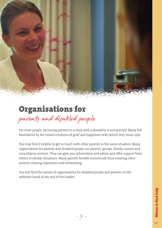

## **Organisations for** parents and disabled people

For most people, becoming parents to a child with a disability is unexpected. Many feel bewildered by the mixed emotions of grief and happiness with which they must cope.

You may find it helpful to get in touch with other parents in the same situation. Many organisations for parents and disabled people run parents' groups, family courses and consultancy services. They can give you information and advice and offer support from others in similar situations. Many parents benefit enormously from meeting other parents, sharing experience and networking.

You will find the names of organisations for disabled people and parents on the websites listed at the end of this leaflet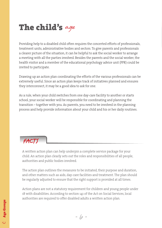## **The child's** age

Providing help to a disabled child often requires the concerted efforts of professionals, treatment units, administrative bodies and sectors. To give parents and professionals a clearer picture of the situation, it can be helpful to ask the social worker to arrange a meeting with all the parties involved. Besides the parents and the social worker, the health visitor and a member of the educational psychology advice unit (PPR) could be invited to participate.

Drawing up an action plan coordinating the efforts of the various professionals can be extremely useful. Since an action plan keeps track of initiatives planned and ensures they interconnect, it may be a good idea to ask for one.

As a rule, when your child switches from one day-care facility to another or starts school, your social worker will be responsible for coordinating and planning the transition – together with you. As parents, you need to be involved in the planning process and help provide information about your child and his or her daily routines.

### FACTS

A written action plan can help underpin a complete service package for your child. An action plan clearly sets out the roles and responsibilities of all people, authorities and public bodies involved.

The action plan outlines the measures to be initiated, their purpose and duration, and other matters such as aids, day-care facilities and treatment. The plan should be regularly adjusted to ensure that the right support is provided at all times.

Action plans are not a statutory requirement for children and young people under 18 with disabilities. According to section 141 of the Act on Social Services, local authorities are required to offer disabled adults a written action plan.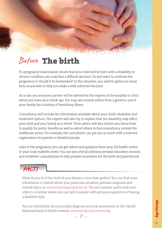## Before **The birth**

If a pregnancy examination shows that your child will be born with a disability or chronic condition, you may face a difficult decision: Do you want to continue the pregnancy or should it be terminated? In this situation, you need to gather as many facts as possible to help you make a well-informed decision.

As a rule, you and your partner will be advised by the experts at the hospital or clinic where you have your check-ups. You may also receive advice from a genetics unit if your family has a history of hereditary illness.

Consultancy will include the information available about your child's disability and treatment options. The experts will also try to explain how the disability may affect your child and your family as a whole. Their advice will also inform you about how to qualify for public benefits as well as about where to find consultancy outside the healthcare sector. For example, the consultants can put you in touch with a relevant organisation for parents or disabled people.

Later in the pregnancy, you can get advice and guidance from your GP, health visitor or your local midwife centre. You can also attend ordinary prenatal education sessions and midwives' consultations to help prepare yourselves for the birth and parenthood.

### FACTS

What do you do if the child of your dreams is less than perfect? You can find more information in Danish about your particular situation, prenatal diagnosis and related topics on www.fosterdiagnostik.lev.dk. The site contains useful links and refers to a hotline where you can talk to people with personal experience of having a disabled child.

You can find details about prenatal diagnosis and risk assessment on the Danish National Board of Health website: www.sst.dk/informeretvalg.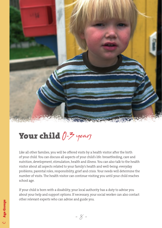

## **Your child**  $0$ -3 years

Like all other families, you will be offered visits by a health visitor after the birth of your child. You can discuss all aspects of your child's life: breastfeeding, care and nutrition, development, stimulation, health and illness. You can also talk to the health visitor about all aspects related to your family's health and well-being: everyday problems, parental roles, responsibility, grief and crisis. Your needs will determine the number of visits. The health visitor can continue visiting you until your child reaches school age.

If your child is born with a disability, your local authority has a duty to advise you about your help and support options. If necessary, your social worker can also contact other relevant experts who can advise and guide you.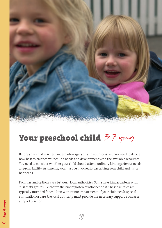

## **Your preschool child**  $\bar{z}$ -7 years

Before your child reaches kindergarten age, you and your social worker need to decide how best to balance your child's needs and development with the available resources. You need to consider whether your child should attend ordinary kindergarten or needs a special facility. As parents, you must be involved in describing your child and his or her needs.

Facilities and options vary between local authorities. Some have kindergartens with 'disability groups' – either in the kindergarten or attached to it. These facilities are typically intended for children with minor impairments. If your child needs special stimulation or care, the local authority must provide the necessary support, such as a support teacher.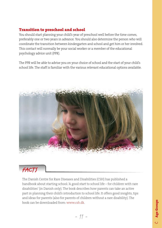### **Transition to preschool and school**

You should start planning your child's year of preschool well before the time comes, preferably one or two years in advance. You should also determine the person who will coordinate the transition between kindergarten and school and get him or her involved. This contact will normally be your social worker or a member of the educational psychology advice unit (PPR).

The PPR will be able to advise you on your choice of school and the start of your child's school life. The staff is familiar with the various relevant educational options available.



### FACTS

The Danish Centre for Rare Diseases and Disabilities (CSH) has published a handbook about starting school: 'A good start to school life – for children with rare disabilities' (in Danish only). The book describes how parents can take an active part in planning their child's introduction to school life. It offers good insights, tips and ideas for parents (also for parents of children without a rare disability). The book can be downloaded from: www.csh.dk.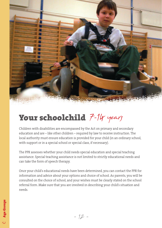

## **Your schoolchild**  $7-14$  years

Children with disabilities are encompassed by the Act on primary and secondary education and are – like other children – required by law to receive instruction. The local authority must ensure education is provided for your child (in an ordinary school, with support or in a special school or special class, if necessary).

The PPR assesses whether your child needs special education and special teaching assistance. Special teaching assistance is not limited to strictly educational needs and can take the form of speech therapy.

Once your child's educational needs have been determined, you can contact the PPR for information and advice about your options and choice of school. As parents, you will be consulted on the choice of school, and your wishes must be clearly stated on the school referral form. Make sure that you are involved in describing your child's situation and needs.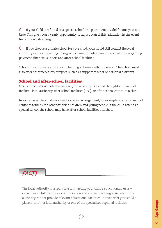$\ddot{\mathbf{E}}$  If your child is referred to a special school, the placement is valid for one year at a time. This gives you a yearly opportunity to adjust your child's education in the event his or her needs change.

 $\ddot{\mathbf{E}}$  If you choose a private school for your child, you should still contact the local authority's educational psychology advice unit for advice on the special rules regarding payment, financial support and after-school facilities.

Schools must provide aids, also for helping at home with homework. The school must also offer other necessary support, such as a support teacher or personal assistant.

#### **School and after-school facilities**

Once your child's schooling is in place, the next step is to find the right after-school facility – local authority after-school facilities (SFO), an after-school centre, or a club.

In some cases, the child may need a special arrangement, for example at an after-school centre together with other disabled children and young people. If the child attends a special school, the school may have after-school facilities attached.



The local authority is responsible for meeting your child's educational needs – even if your child needs special education and special teaching assistance. If the authority cannot provide relevant educational facilities, it must offer your child a place in another local authority or one of the specialised regional facilities.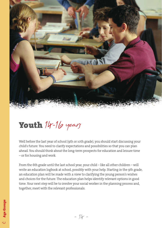

## Youth 14-16 years

Well before the last year of school (9th or 10th grade), you should start discussing your child's future. You need to clarify expectations and possibilities so that you can plan ahead. You should think about the long-term prospects for education and leisure time – or for housing and work.

From the 6th grade until the last school year, your child – like all other children – will write an education logbook at school, possibly with your help. Starting in the 9th grade, an education plan will be made with a view to clarifying the young person's wishes and choices for the future. The education plan helps identify relevant options in good time. Your next step will be to involve your social worker in the planning process and, together, meet with the relevant professionals.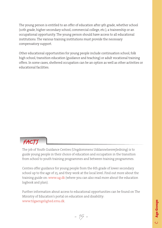The young person is entitled to an offer of education after 9th grade, whether school (10th grade, higher secondary school, commercial college, etc.), a traineeship or an occupational opportunity. The young person should have access to all educational institutions. The various training institutions must provide the necessary compensatory support.

Other educational opportunities for young people include continuation school, folk high school, transition education (guidance and teaching) or adult vocational training offers. In some cases, sheltered occupation can be an option as well as other activities or educational facilities.

### FACTS

The job of Youth Guidance Centres (Ungdommens Uddannelsesvejledning) is to guide young people in their choice of education and occupation in the transition from school to youth training programmes and between training programmes.

Centres offer guidance for young people from the 6th grade of lower secondary school up to the age of 25, and they work at the local level. Find out more about the training guide on: www.ug.dk (where you can also read more about the education logbook and plan).

Further information about access to educational opportunities can be found on The Ministry of Education's portal on education and disability: www.tilgaengelighed.emu.dk.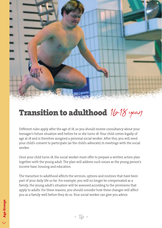

## **Transition to adulthood** 16-18 years

Different rules apply after the age of 18, so you should receive consultancy about your teenager's future situation well before he or she turns 18. Your child comes legally of age at 18 and is therefore assigned a personal social worker. After this, you will need your child's consent to participate (as the child's advocate) in meetings with the social worker.

Once your child turns 18, the social worker must offer to prepare a written action plan together with the young adult. The plan will address such issues as the young person's income base, housing and education.

The transition to adulthood affects the services, options and routines that have been part of your daily life so far. For example, you will no longer be compensated as a family; the young adult's situation will be assessed according to the provisions that apply to adults. For these reasons, you should consider how these changes will affect you as a family well before they do so. Your social worker can give you advice.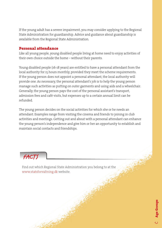If the young adult has a severe impairment, you may consider applying to the Regional State Administration for guardianship. Advice and guidance about guardianship is available from the Regional State Administration.

#### **Personal attendance**

Like all young people, young disabled people living at home need to enjoy activities of their own choice outside the home – without their parents.

Young disabled people (16-18 years) are entitled to have a personal attendant from the local authority for 15 hours monthly, provided they meet the scheme requirements. If the young person does not appoint a personal attendant, the local authority will provide one. As necessary, the personal attendant's job is to help the young person manage such activities as putting on outer garments and using aids and a wheelchair. Generally, the young person pays the cost of the personal assistant's transport, admission fees and café visits, but expenses up to a certain annual limit can be refunded.

The young person decides on the social activities for which she or he needs an attendant. Examples range from visiting the cinema and friends to joining in club activities and meetings. Getting out and about with a personal attendant can enhance the young person's independence and give him or her an opportunity to establish and maintain social contacts and friendships.



Find out which Regional State Administration you belong to at the www.statsforvaltning.dk website.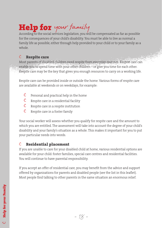## **Help for** your family

According to the social services legislation, you will be compensated as far as possible for the consequences of your child's disability. You must be able to live as normal a family life as possible, either through help provided to your child or to your family as a whole.

### Ë **Respite care**

Most parents of disabled children need respite from everyday routines. Respite care can enable you to spend time with your other children – or give you time for each other. Respite care may be the key that gives you enough resources to carry on a working life.

Respite care can be provided inside or outside the home. Various forms of respite care are available at weekends or on weekdays, for example:

- $\ddot{\mathbf{E}}$  Personal and practical help in the home
- $\ddot{\mathbf{E}}$  Respite care in a residential facility
- $\ddot{\mathbf{E}}$  Respite care in a respite institution
- $\ddot{\mathbf{E}}$  Respite care in a foster family

Your social worker will assess whether you qualify for respite care and the amount to which you are entitled. The assessment will take into account the degree of your child's disability and your family's situation as a whole. This makes it important for you to put your particular needs into words.

### Ë **Residential placement**

If you are unable to care for your disabled child at home, various residential options are available for your child: foster families, special care centres and residential facilities. You will continue to have parental responsibility.

If you accept an offer of residential care, you may benefit from the advice and support offered by organisations for parents and disabled people (see the list in this leaflet). Most people find talking to other parents in the same situation an enormous relief.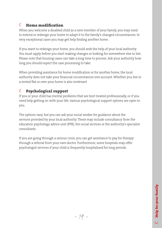### $\ddot{\mathbf{E}}$  **Home modification**

When you welcome a disabled child as a new member of your family, you may need to extend or redesign your home to adapt it to the family's changed circumstances. In very exceptional cases you may get help finding another home.

If you want to redesign your home, you should seek the help of your local authority. You must apply before you start making changes or looking for somewhere else to live. Please note that housing cases can take a long time to process. Ask your authority how long you should expect the case processing to take.

When providing assistance for home modification or for another home, the local authority does not take your financial circumstances into account. Whether you live in a rented flat or own your home is also irrelevant

### Ë **Psychological support**

If you or your child has mental problems that are best treated professionally, or if you need help getting on with your life, various psychological support options are open to you.

The options vary, but you can ask your social worker for guidance about the services provided by your local authority. These may include consultancy from the education psychology advice unit (PPR), the social services or the authority's specialist consultants.

If you are going through a serious crisis, you can get assistance to pay for therapy through a referral from your own doctor. Furthermore, some hospitals may offer psychologist services if your child is frequently hospitalised for long periods.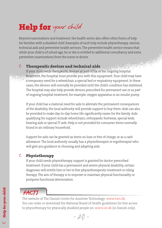## **Help for** your child

Beyond examinations and treatment, the health sector also offers other forms of help for families with a disabled child. Examples of such help include physiotherapy, various technical aids and preventive health services. The preventive health service means that while your child is of school age, he or she is entitled to additional consultancy and extra preventive examinations from the nurse or doctor.

#### Ë **Therapeutic devices and technical aids**

If your child needs therapeutic devices as part of his or her ongoing hospital treatment, the hospital must provide you with this equipment. Your child may have a temporary need for a wheelchair, a special bed or respiratory equipment. In these cases, the devices will normally be provided until the child's condition has stabilised. The hospital may also help provide devices prescribed for permanent use or as part of ongoing hospital treatment, for example, oxygen apparatus or an insulin pump.

If your child has a material need for aids to alleviate the permanent consequences of the disability, the local authority will provide support to buy them. Aids can also be provided to make day-to-day home life significantly easier for the family. Aids qualifying for support include wheelchairs, orthopaedic footwear, special beds, hearing aids or special IT aids. Help is not provided for consumer items normally found in an ordinary household.

Support for aids can be granted as items on loan or free of charge, or as a cash allowance. The local authority usually has a physiotherapist or ergotherapist who will give you guidance in choosing and adapting aids.

### Ë **Physiotherapy**

If your child needs physiotherapy, support is granted for doctor-prescribed treatment. If your child has a permanent and severe physical disability, certain diagnoses will entitle him or her to free physiotherapeutic treatment or riding therapy. The aim of therapy is to improve or maintain physical functionality or postpone functional deterioration.

### FACTS

The website of The Danish Centre for Assistive Technology: www.hmi.dk. You can order or download the National Board of Health guidelines for free access to physiotherapy for physically disabled people on: www.sst.dk (in Danish only).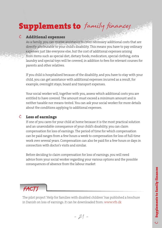## **Supplements to** family finances

#### Ë **Additional expenses**

As a family, you can receive assistance to cover necessary additional costs that are directly attributable to your child's disability. This means you have to pay ordinary expenses just like everyone else, but the cost of additional expenses arising from items such as special diet, dietary foods, medication, special clothing, extra laundry and special toys will be covered, in addition to fees for relevant courses for parents and other relatives.

If you child is hospitalised because of the disability, and you have to stay with your child, you can get assistance with additional expenses incurred as a result, for example, overnight stays, board and transport expenses.

Your social worker will, together with you, assess which additional costs you are entitled to have covered. The amount must exceed a minimum amount and is neither taxable nor means-tested. You can ask your social worker for more details about the conditions applying to additional expenses.

### Ë **Loss of earnings**

If one of you cares for your child at home because it is the most practical solution and an unavoidable consequence of your child's disability, you can claim compensation for loss of earnings. The period of time for which compensation can be paid ranges from a few hours a week to compensation for loss of full-time work over several years. Compensation can also be paid for a few hours or days in connection with doctor's visits and similar.

Before deciding to claim compensation for loss of earnings, you will need advice from your social worker regarding your various options and the possible consequences of absence from the labour market



The pilot project 'Help for families with disabled children' has published a brochure in Danish on loss of earnings. It can be downloaded from: www.vfb.dk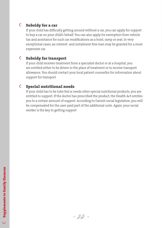### Ë **Subsidy for a car**

If your child has difficulty getting around without a car, you can apply for support to buy a car on your child's behalf. You can also apply for exemption from vehicle tax and assistance for such car modifications as a hoist, ramp or seat. In very exceptional cases, an interest- and instalment-free loan may be granted for a more expensive car.

#### Ë **Subsidy for transport**

If your child receives treatment from a specialist doctor or at a hospital, you are entitled either to be driven to the place of treatment or to receive transport allowance. You should contact your local patient counsellor for information about support for transport

### Ë **Special nutritional needs**

If your child has to be tube fed or needs other special nutritional products, you are entitled to support. If the doctor has prescribed the product, the Health Act entitles you to a certain amount of support. According to Danish social legislation, you will be compensated for the user-paid part of the additional costs. Again, your social worker is the key to getting support

- 22 -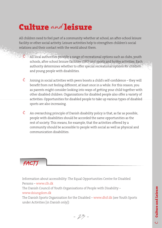## **Culture** and **leisure**

All children need to feel part of a community whether at school, an after-school leisure facility or other social activity. Leisure activities help to strengthen children's social relations and their contact with the world about them.

- $\ddot{\mathbf{E}}$  All local authorities provide a range of recreational options such as clubs, youth schools, after-school leisure facilities (SFO) and sports and hobby activities. Each authority determines whether to offer special recreational options for children and young people with disabilities.
- $\ddot{\mathbf{E}}$  Joining in social activities with peers boosts a child's self-confidence they will benefit from not feeling different, at least once in a while. For this reason, you as parents might consider looking into ways of getting your child together with other disabled children. Organisations for disabled people also offer a variety of activities. Opportunities for disabled people to take up various types of disabled sports are also increasing.
- $\ddot{\bm{\epsilon}}$  An overarching principle of Danish disability policy is that, as far as possible, people with disabilities should be accorded the same opportunities as the rest of society. This means, for example, that the activities offered by a community should be accessible to people with social as well as physical and communication disabilities.



Information about accessibility: The Equal Opportunities Centre for Disabled Persons – www.clh.dk

The Danish Council of Youth Organisations of People with Disability – www.dsiungdom.dk

The Danish Sports Organisation for the Disabled – www.dhif.dk (see Youth Sports under Activities [in Danish only])

- 23 -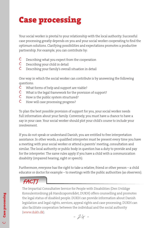## **Case processing**

Your social worker is pivotal to your relationship with the local authority. Successful case processing greatly depends on you and your social worker cooperating to find the optimum solutions. Clarifying possibilities and expectations promotes a productive partnership. For example, you can contribute by:

- $\ddot{\mathbf{E}}$  Describing what you expect from the cooperation
- $\ddot{\mathbf{E}}$  Describing your child in detail
- $\ddot{\mathbf{E}}$  Describing your family's overall situation in detail

One way in which the social worker can contribute is by answering the following questions:

- $\ddot{\mathbf{E}}$  What forms of help and support are viable?
- $\ddot{\mathbf{E}}$  What is the legal framework for the provision of support?
- $\ddot{\mathbf{E}}$  How is the public system structured?
- $\ddot{\mathbf{E}}$  How will case processing progress?

To plan the best possible provision of support for you, your social worker needs full information about your family. Conversely, you must have a chance to have a say in your case. Your social worker should plot your child's course to include your involvement.

If you do not speak or understand Danish, you are entitled to free interpretation assistance. In other words, a qualified interpreter must be present every time you have a meeting with your social worker or attend a parents' meeting, consultation and similar. The local authority or public body in question has a duty to provide and pay for the interpreter. The same rules apply if you have a child with a communication disability (impaired hearing, sight or speech).

Furthermore, everyone has the right to take a relative, friend or other person – a child educator or doctor for example – to meetings with the public authorities (as observers).

### FACTS

The Impartial Consultative Service for People with Disabilities (Den Uvildige Konsulentordning på Handicapområdet, DUKH) offers counselling and promotes the legal status of disabled people. DUKH can provide information about Danish legislation and legal rights, services, appeal rights and case processing. DUKH can also facilitate cooperation between the individual and the social authority (www.dukh.dk).

- 24 -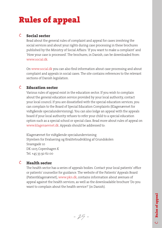## **Rules of appeal**

### Ë **Social sector**

Read about the general rules of complaint and appeal for cases involving the social services and about your rights during case processing in these brochures published by the Ministry of Social Affairs: 'If you want to make a complaint' and 'How your case is processed'. The brochures, in Danish, can be downloaded from: www.social.dk

On www.social.dk you can also find information about case processing and about complaint and appeals in social cases. The site contains references to the relevant sections of Danish legislation.

### Ë **Education sector**

Various rules of appeal exist in the education sector. If you wish to complain about the general education service provided by your local authority, contact your local council. If you are dissatisfied with the special education services, you can complain to the Board of Special Education Complaints (Klagenævnet for vidtgående specialundervisning). You can also lodge an appeal with the appeals board if your local authority refuses to refer your child to a special education option such as a special school or special class. Read more about rules of appeal on www.klagenaevnet.dk. Appeals should be addressed to:

Klagenævnet for vidtgående specialundervisning Styrelsen for Evaluering og Kvalitetsudvikling af Grundskolen Snaregade 10 DK 1205 Copenhagen K Tel. +45 33 92 62 00

#### Ë **Health sector**

The health sector has a series of appeals bodies. Contact your local patients' office or patients' counsellor for guidance. The website of the Patients' Appeals Board (Patientklagenævnet), www.pkn.dk, contains information about avenues of appeal against the health services, as well as the downloadable brochure 'Do you want to complain about the health service?' (in Danish).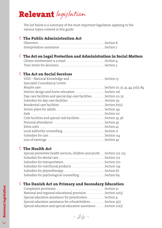## **Relevant** *legislation*

The list below is a summary of the most important legislation applying to the various topics covered in this guide.

### Ë**The Public Administration Act**

### Ë**The Act on Legal Protection and Administration in Social Matters**

### Ë**The Act on Social Services**

| Specialist Consultancy Centre                                     |  |
|-------------------------------------------------------------------|--|
|                                                                   |  |
| Interior design and home relocation Section 116                   |  |
| Day-care facilities and special day-care facilitiesSection 20, 32 |  |
| Subsidies for day-care facilities Section 29                      |  |
|                                                                   |  |
|                                                                   |  |
|                                                                   |  |
| Club facilities and special club facilitiesSection 33, 36         |  |
|                                                                   |  |
|                                                                   |  |
|                                                                   |  |
|                                                                   |  |
|                                                                   |  |

### Ë**The Health Act**

| Special preventive health services, children and youth . Section 122, 123 |  |
|---------------------------------------------------------------------------|--|
|                                                                           |  |
|                                                                           |  |
| Subsidies for nutritional products Section 159                            |  |
|                                                                           |  |
| Subsidies for psychological counselling Section 69                        |  |

### Ë**The Danish Act on Primary and Secondary Education**

| National and regional educational provisionSection 20(3)         |  |
|------------------------------------------------------------------|--|
| Special education assistance for preschoolersSection 4           |  |
| Special education assistance for schoolchildrenSection 3(2)      |  |
| Special education and special education assistance Section 20(2) |  |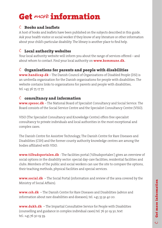## **Get** more **information**

### $\ddot{\mathbf{E}}$  **Books and leaflets**

A host of books and leaflets have been published on the subjects described in this guide. Ask your health visitor or social worker if they know of any literature or other information about your child's particular disability. The library is another place to find help.

### Ë **Local authority websites**

Your local authority website will inform you about the range of services offered – and about whom to contact. Find your local authority on **www.kommune.dk.** 

### Ë **Organisations for parents and people with disabilities**

**www.handicap.dk** – The Danish Council of Organisations of Disabled People (DSI) is an umbrella organisation for the Danish organisations for people with disabilities. The website contains links to organisations for parents and people with disabilities, tel. +45 36 75 17 77.

### Ë **consultancy and information**

**www.spesoc.dk** – The National Board of Specialist Consultancy and Social Service. The Board consists of the Social Service Centre and the Specialist Consultancy Centre (VISO).

VISO (The Specialist Consultancy and Knowledge Centre) offers free specialist consultancy to private individuals and local authorities in the most exceptional and complex cases.

The Danish Centre for Assistive Technology, The Danish Centre for Rare Diseases and Disabilities (CSH) and the former county authority knowledge centres are among the  $b$ odies affiliated with VISO.

**www.tilbudsportalen.dk** - The facilities portal ('tilbudsportalen') gives an overview of social options in the disability sector: special day-care facilities, residential facilities and clubs. Members of the public and social workers can use the site to compare the options, their teaching methods, physical facilities and special services.

**www.social.dk** – The Social Portal (information and review of the area covered by the Ministry of Social Affairs).

**www.csh.dk** – The Danish Centre for Rare Diseases and Disabilities (advice and information about rare disabilities and diseases), tel. +45 33 91 40 20.

**www.dukh.dk** – The Impartial Consultative Service for People with Disabilities (counselling and guidance in complex individual cases) tel. 76 30 19 30, text tel.: +45 76 30 19 39.